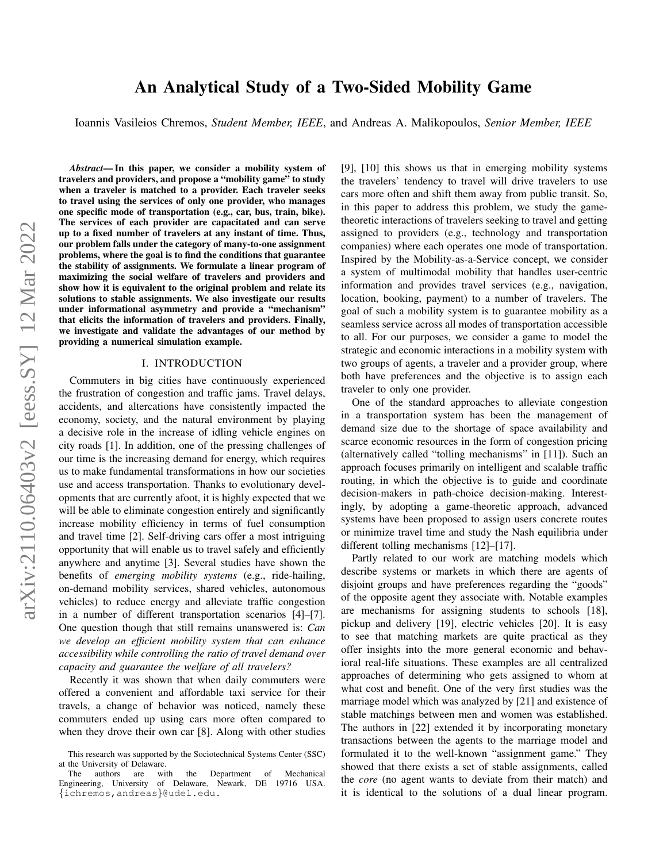# An Analytical Study of a Two-Sided Mobility Game

Ioannis Vasileios Chremos, *Student Member, IEEE*, and Andreas A. Malikopoulos, *Senior Member, IEEE*

*Abstract*— In this paper, we consider a mobility system of travelers and providers, and propose a "mobility game" to study when a traveler is matched to a provider. Each traveler seeks to travel using the services of only one provider, who manages one specific mode of transportation (e.g., car, bus, train, bike). The services of each provider are capacitated and can serve up to a fixed number of travelers at any instant of time. Thus, our problem falls under the category of many-to-one assignment problems, where the goal is to find the conditions that guarantee the stability of assignments. We formulate a linear program of maximizing the social welfare of travelers and providers and show how it is equivalent to the original problem and relate its solutions to stable assignments. We also investigate our results under informational asymmetry and provide a "mechanism" that elicits the information of travelers and providers. Finally, we investigate and validate the advantages of our method by providing a numerical simulation example.

#### I. INTRODUCTION

Commuters in big cities have continuously experienced the frustration of congestion and traffic jams. Travel delays, accidents, and altercations have consistently impacted the economy, society, and the natural environment by playing a decisive role in the increase of idling vehicle engines on city roads [1]. In addition, one of the pressing challenges of our time is the increasing demand for energy, which requires us to make fundamental transformations in how our societies use and access transportation. Thanks to evolutionary developments that are currently afoot, it is highly expected that we will be able to eliminate congestion entirely and significantly increase mobility efficiency in terms of fuel consumption and travel time [2]. Self-driving cars offer a most intriguing opportunity that will enable us to travel safely and efficiently anywhere and anytime [3]. Several studies have shown the benefits of *emerging mobility systems* (e.g., ride-hailing, on-demand mobility services, shared vehicles, autonomous vehicles) to reduce energy and alleviate traffic congestion in a number of different transportation scenarios [4]–[7]. One question though that still remains unanswered is: *Can we develop an efficient mobility system that can enhance accessibility while controlling the ratio of travel demand over capacity and guarantee the welfare of all travelers?*

Recently it was shown that when daily commuters were offered a convenient and affordable taxi service for their travels, a change of behavior was noticed, namely these commuters ended up using cars more often compared to when they drove their own car [8]. Along with other studies [9], [10] this shows us that in emerging mobility systems the travelers' tendency to travel will drive travelers to use cars more often and shift them away from public transit. So, in this paper to address this problem, we study the gametheoretic interactions of travelers seeking to travel and getting assigned to providers (e.g., technology and transportation companies) where each operates one mode of transportation. Inspired by the Mobility-as-a-Service concept, we consider a system of multimodal mobility that handles user-centric information and provides travel services (e.g., navigation, location, booking, payment) to a number of travelers. The goal of such a mobility system is to guarantee mobility as a seamless service across all modes of transportation accessible to all. For our purposes, we consider a game to model the strategic and economic interactions in a mobility system with two groups of agents, a traveler and a provider group, where both have preferences and the objective is to assign each traveler to only one provider.

One of the standard approaches to alleviate congestion in a transportation system has been the management of demand size due to the shortage of space availability and scarce economic resources in the form of congestion pricing (alternatively called "tolling mechanisms" in [11]). Such an approach focuses primarily on intelligent and scalable traffic routing, in which the objective is to guide and coordinate decision-makers in path-choice decision-making. Interestingly, by adopting a game-theoretic approach, advanced systems have been proposed to assign users concrete routes or minimize travel time and study the Nash equilibria under different tolling mechanisms [12]–[17].

Partly related to our work are matching models which describe systems or markets in which there are agents of disjoint groups and have preferences regarding the "goods" of the opposite agent they associate with. Notable examples are mechanisms for assigning students to schools [18], pickup and delivery [19], electric vehicles [20]. It is easy to see that matching markets are quite practical as they offer insights into the more general economic and behavioral real-life situations. These examples are all centralized approaches of determining who gets assigned to whom at what cost and benefit. One of the very first studies was the marriage model which was analyzed by [21] and existence of stable matchings between men and women was established. The authors in [22] extended it by incorporating monetary transactions between the agents to the marriage model and formulated it to the well-known "assignment game." They showed that there exists a set of stable assignments, called the *core* (no agent wants to deviate from their match) and it is identical to the solutions of a dual linear program.

This research was supported by the Sociotechnical Systems Center (SSC) at the University of Delaware.<br>The authors are with

The authors are with the Department of Mechanical Engineering, University of Delaware, Newark, DE 19716 USA. {ichremos,andreas}@udel.edu.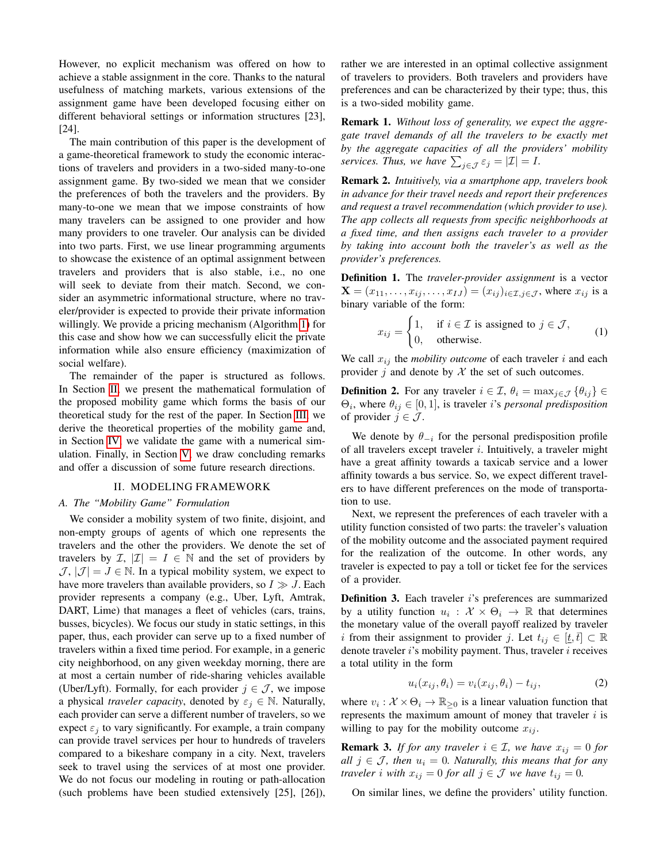However, no explicit mechanism was offered on how to achieve a stable assignment in the core. Thanks to the natural usefulness of matching markets, various extensions of the assignment game have been developed focusing either on different behavioral settings or information structures [23], [24].

The main contribution of this paper is the development of a game-theoretical framework to study the economic interactions of travelers and providers in a two-sided many-to-one assignment game. By two-sided we mean that we consider the preferences of both the travelers and the providers. By many-to-one we mean that we impose constraints of how many travelers can be assigned to one provider and how many providers to one traveler. Our analysis can be divided into two parts. First, we use linear programming arguments to showcase the existence of an optimal assignment between travelers and providers that is also stable, i.e., no one will seek to deviate from their match. Second, we consider an asymmetric informational structure, where no traveler/provider is expected to provide their private information willingly. We provide a pricing mechanism (Algorithm [1\)](#page-4-0) for this case and show how we can successfully elicit the private information while also ensure efficiency (maximization of social welfare).

The remainder of the paper is structured as follows. In Section [II,](#page-1-0) we present the mathematical formulation of the proposed mobility game which forms the basis of our theoretical study for the rest of the paper. In Section [III,](#page-3-0) we derive the theoretical properties of the mobility game and, in Section [IV,](#page-5-0) we validate the game with a numerical simulation. Finally, in Section [V,](#page-5-1) we draw concluding remarks and offer a discussion of some future research directions.

#### II. MODELING FRAMEWORK

## <span id="page-1-0"></span>*A. The "Mobility Game" Formulation*

We consider a mobility system of two finite, disjoint, and non-empty groups of agents of which one represents the travelers and the other the providers. We denote the set of travelers by  $\mathcal{I}, |\mathcal{I}| = I \in \mathbb{N}$  and the set of providers by  $J, |J| = J \in \mathbb{N}$ . In a typical mobility system, we expect to have more travelers than available providers, so  $I \gg J$ . Each provider represents a company (e.g., Uber, Lyft, Amtrak, DART, Lime) that manages a fleet of vehicles (cars, trains, busses, bicycles). We focus our study in static settings, in this paper, thus, each provider can serve up to a fixed number of travelers within a fixed time period. For example, in a generic city neighborhood, on any given weekday morning, there are at most a certain number of ride-sharing vehicles available (Uber/Lyft). Formally, for each provider  $j \in \mathcal{J}$ , we impose a physical *traveler capacity*, denoted by  $\varepsilon_j \in \mathbb{N}$ . Naturally, each provider can serve a different number of travelers, so we expect  $\varepsilon_i$  to vary significantly. For example, a train company can provide travel services per hour to hundreds of travelers compared to a bikeshare company in a city. Next, travelers seek to travel using the services of at most one provider. We do not focus our modeling in routing or path-allocation (such problems have been studied extensively [25], [26]),

rather we are interested in an optimal collective assignment of travelers to providers. Both travelers and providers have preferences and can be characterized by their type; thus, this is a two-sided mobility game.

Remark 1. *Without loss of generality, we expect the aggregate travel demands of all the travelers to be exactly met by the aggregate capacities of all the providers' mobility services. Thus, we have*  $\sum_{j \in \mathcal{J}} \varepsilon_j = |\mathcal{I}| = I$ *.* 

Remark 2. *Intuitively, via a smartphone app, travelers book in advance for their travel needs and report their preferences and request a travel recommendation (which provider to use). The app collects all requests from specific neighborhoods at a fixed time, and then assigns each traveler to a provider by taking into account both the traveler's as well as the provider's preferences.*

Definition 1. The *traveler-provider assignment* is a vector  $\mathbf{X} = (x_{11}, \dots, x_{ij}, \dots, x_{IJ}) = (x_{ij})_{i \in \mathcal{I}, j \in \mathcal{J}}$ , where  $x_{ij}$  is a binary variable of the form:

$$
x_{ij} = \begin{cases} 1, & \text{if } i \in \mathcal{I} \text{ is assigned to } j \in \mathcal{J}, \\ 0, & \text{otherwise.} \end{cases}
$$
 (1)

We call  $x_{ij}$  the *mobility outcome* of each traveler i and each provider j and denote by  $\mathcal X$  the set of such outcomes.

**Definition 2.** For any traveler  $i \in \mathcal{I}$ ,  $\theta_i = \max_{i \in \mathcal{J}} {\theta_{ij}} \in$  $\Theta_i$ , where  $\theta_{ij} \in [0, 1]$ , is traveler *i*'s *personal predisposition* of provider  $j \in \mathcal{J}$ .

We denote by  $\theta_{-i}$  for the personal predisposition profile of all travelers except traveler  $i$ . Intuitively, a traveler might have a great affinity towards a taxicab service and a lower affinity towards a bus service. So, we expect different travelers to have different preferences on the mode of transportation to use.

Next, we represent the preferences of each traveler with a utility function consisted of two parts: the traveler's valuation of the mobility outcome and the associated payment required for the realization of the outcome. In other words, any traveler is expected to pay a toll or ticket fee for the services of a provider.

Definition 3. Each traveler i's preferences are summarized by a utility function  $u_i : \mathcal{X} \times \Theta_i \to \mathbb{R}$  that determines the monetary value of the overall payoff realized by traveler i from their assignment to provider j. Let  $t_{ij} \in [\underline{t}, \overline{t}] \subset \mathbb{R}$ denote traveler  $i$ 's mobility payment. Thus, traveler  $i$  receives a total utility in the form

<span id="page-1-1"></span>
$$
u_i(x_{ij}, \theta_i) = v_i(x_{ij}, \theta_i) - t_{ij}, \qquad (2)
$$

where  $v_i : \mathcal{X} \times \Theta_i \to \mathbb{R}_{\geq 0}$  is a linear valuation function that represents the maximum amount of money that traveler  $i$  is willing to pay for the mobility outcome  $x_{ij}$ .

<span id="page-1-2"></span>**Remark 3.** *If for any traveler*  $i \in \mathcal{I}$ *, we have*  $x_{ij} = 0$  *for all*  $j \in \mathcal{J}$ , then  $u_i = 0$ . Naturally, this means that for any *traveler i with*  $x_{ij} = 0$  *for all*  $j \in \mathcal{J}$  *we have*  $t_{ij} = 0$ *.* 

On similar lines, we define the providers' utility function.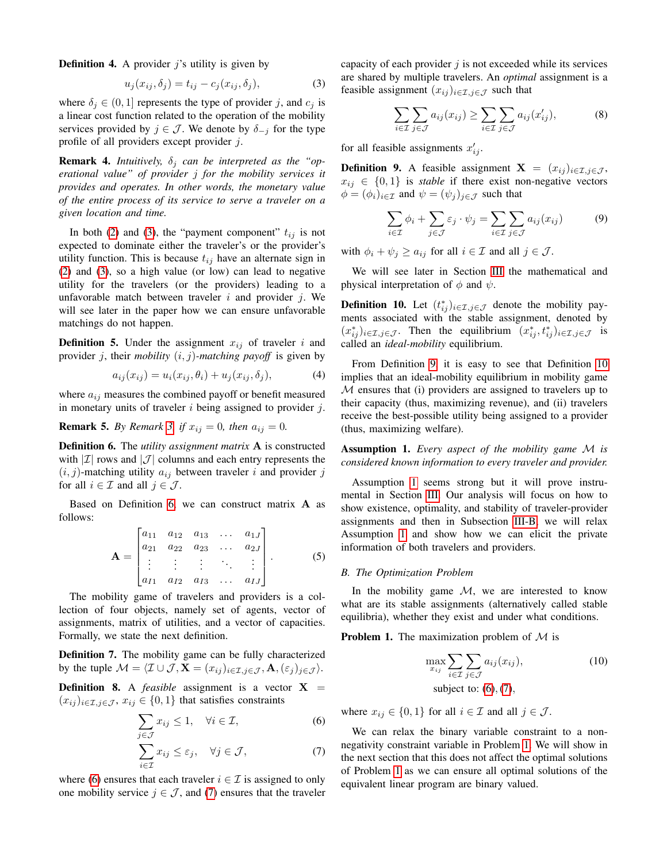**Definition 4.** A provider  $j$ 's utility is given by

<span id="page-2-0"></span>
$$
u_j(x_{ij}, \delta_j) = t_{ij} - c_j(x_{ij}, \delta_j), \tag{3}
$$

where  $\delta_j \in (0,1]$  represents the type of provider j, and  $c_j$  is a linear cost function related to the operation of the mobility services provided by  $j \in \mathcal{J}$ . We denote by  $\delta_{-j}$  for the type profile of all providers except provider j.

**Remark 4.** *Intuitively,*  $\delta_j$  *can be interpreted as the "operational value" of provider* j *for the mobility services it provides and operates. In other words, the monetary value of the entire process of its service to serve a traveler on a given location and time.*

In both [\(2\)](#page-1-1) and [\(3\)](#page-2-0), the "payment component"  $t_{ij}$  is not expected to dominate either the traveler's or the provider's utility function. This is because  $t_{ij}$  have an alternate sign in [\(2\)](#page-1-1) and [\(3\)](#page-2-0), so a high value (or low) can lead to negative utility for the travelers (or the providers) leading to a unfavorable match between traveler  $i$  and provider  $j$ . We will see later in the paper how we can ensure unfavorable matchings do not happen.

**Definition 5.** Under the assignment  $x_{ij}$  of traveler i and provider j, their *mobility*  $(i, j)$ -matching payoff is given by

$$
a_{ij}(x_{ij}) = u_i(x_{ij}, \theta_i) + u_j(x_{ij}, \delta_j), \tag{4}
$$

where  $a_{ij}$  measures the combined payoff or benefit measured in monetary units of traveler  $i$  being assigned to provider  $j$ .

**Remark 5.** *By Remark [3,](#page-1-2) if*  $x_{ij} = 0$ *, then*  $a_{ij} = 0$ *.* 

<span id="page-2-1"></span>Definition 6. The *utility assignment matrix* A is constructed with  $|\mathcal{I}|$  rows and  $|\mathcal{J}|$  columns and each entry represents the  $(i, j)$ -matching utility  $a_{ij}$  between traveler i and provider j for all  $i \in \mathcal{I}$  and all  $j \in \mathcal{J}$ .

Based on Definition [6,](#page-2-1) we can construct matrix A as follows:

$$
\mathbf{A} = \begin{bmatrix} a_{11} & a_{12} & a_{13} & \cdots & a_{1J} \\ a_{21} & a_{22} & a_{23} & \cdots & a_{2J} \\ \vdots & \vdots & \vdots & \ddots & \vdots \\ a_{I1} & a_{I2} & a_{I3} & \cdots & a_{IJ} \end{bmatrix} .
$$
 (5)

The mobility game of travelers and providers is a collection of four objects, namely set of agents, vector of assignments, matrix of utilities, and a vector of capacities. Formally, we state the next definition.

Definition 7. The mobility game can be fully characterized by the tuple  $\mathcal{M} = \langle \mathcal{I} \cup \mathcal{J}, \mathbf{X} = (x_{ij})_{i \in \mathcal{I}, j \in \mathcal{J}}, \mathbf{A}, (\varepsilon_j)_{j \in \mathcal{J}} \rangle.$ 

<span id="page-2-8"></span>**Definition 8.** A *feasible* assignment is a vector  $X =$  $(x_{ij})_{i\in\mathcal{I},j\in\mathcal{J}}, x_{ij}\in\{0,1\}$  that satisfies constraints

$$
\sum_{j \in \mathcal{J}} x_{ij} \le 1, \quad \forall i \in \mathcal{I}, \tag{6}
$$

$$
\sum_{i \in \mathcal{I}} x_{ij} \le \varepsilon_j, \quad \forall j \in \mathcal{J}, \tag{7}
$$

where [\(6\)](#page-2-2) ensures that each traveler  $i \in \mathcal{I}$  is assigned to only one mobility service  $j \in \mathcal{J}$ , and [\(7\)](#page-2-3) ensures that the traveler capacity of each provider  $j$  is not exceeded while its services are shared by multiple travelers. An *optimal* assignment is a feasible assignment  $(x_{ij})_{i\in\mathcal{I},j\in\mathcal{J}}$  such that

<span id="page-2-9"></span>
$$
\sum_{i \in \mathcal{I}} \sum_{j \in \mathcal{J}} a_{ij}(x_{ij}) \ge \sum_{i \in \mathcal{I}} \sum_{j \in \mathcal{J}} a_{ij}(x'_{ij}), \tag{8}
$$

for all feasible assignments  $x'_{ij}$ .

<span id="page-2-4"></span>**Definition 9.** A feasible assignment  $X = (x_{ij})_{i \in \mathcal{I}, j \in \mathcal{J}}$ ,  $x_{ij} \in \{0, 1\}$  is *stable* if there exist non-negative vectors  $\phi = (\phi_i)_{i \in \mathcal{I}}$  and  $\psi = (\psi_j)_{j \in \mathcal{J}}$  such that

$$
\sum_{i \in \mathcal{I}} \phi_i + \sum_{j \in \mathcal{J}} \varepsilon_j \cdot \psi_j = \sum_{i \in \mathcal{I}} \sum_{j \in \mathcal{J}} a_{ij}(x_{ij}) \tag{9}
$$

with  $\phi_i + \psi_j \ge a_{ij}$  for all  $i \in \mathcal{I}$  and all  $j \in \mathcal{J}$ .

We will see later in Section [III](#page-3-0) the mathematical and physical interpretation of  $\phi$  and  $\psi$ .

<span id="page-2-5"></span>**Definition 10.** Let  $(t_{ij}^*)_{i \in \mathcal{I}, j \in \mathcal{J}}$  denote the mobility payments associated with the stable assignment, denoted by  $(x_{ij}^*)_{i \in \mathcal{I}, j \in \mathcal{J}}$ . Then the equilibrium  $(x_{ij}^*, t_{ij}^*)_{i \in \mathcal{I}, j \in \mathcal{J}}$  is called an *ideal-mobility* equilibrium.

From Definition [9,](#page-2-4) it is easy to see that Definition [10](#page-2-5) implies that an ideal-mobility equilibrium in mobility game M ensures that (i) providers are assigned to travelers up to their capacity (thus, maximizing revenue), and (ii) travelers receive the best-possible utility being assigned to a provider (thus, maximizing welfare).

<span id="page-2-6"></span>Assumption 1. *Every aspect of the mobility game* M *is considered known information to every traveler and provider.*

Assumption [1](#page-2-6) seems strong but it will prove instrumental in Section [III.](#page-3-0) Our analysis will focus on how to show existence, optimality, and stability of traveler-provider assignments and then in Subsection [III-B,](#page-4-1) we will relax Assumption [1](#page-2-6) and show how we can elicit the private information of both travelers and providers.

#### *B. The Optimization Problem*

In the mobility game  $M$ , we are interested to know what are its stable assignments (alternatively called stable equilibria), whether they exist and under what conditions.

<span id="page-2-7"></span>**Problem 1.** The maximization problem of  $M$  is

$$
\max_{x_{ij}} \sum_{i \in \mathcal{I}} \sum_{j \in \mathcal{J}} a_{ij}(x_{ij}),
$$
\n
$$
\text{subject to: } (6), (7),
$$
\n
$$
(10)
$$

<span id="page-2-2"></span>where  $x_{ij} \in \{0, 1\}$  for all  $i \in \mathcal{I}$  and all  $j \in \mathcal{J}$ .

<span id="page-2-3"></span>We can relax the binary variable constraint to a nonnegativity constraint variable in Problem [1.](#page-2-7) We will show in the next section that this does not affect the optimal solutions of Problem [1](#page-2-7) as we can ensure all optimal solutions of the equivalent linear program are binary valued.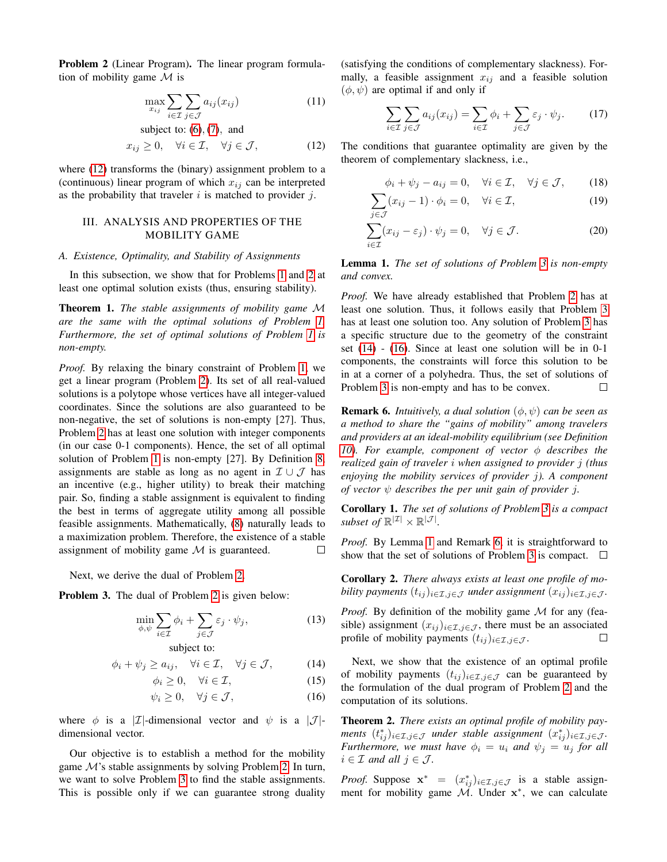<span id="page-3-2"></span>Problem 2 (Linear Program). The linear program formulation of mobility game  $M$  is

$$
\max_{x_{ij}} \sum_{i \in \mathcal{I}} \sum_{j \in \mathcal{J}} a_{ij}(x_{ij}) \tag{11}
$$

subject to: (6), (7), and  
\n
$$
x_{ij} \ge 0
$$
,  $\forall i \in \mathcal{I}$ ,  $\forall j \in \mathcal{J}$ , (12)

where  $(12)$  transforms the (binary) assignment problem to a (continuous) linear program of which  $x_{ij}$  can be interpreted as the probability that traveler  $i$  is matched to provider  $j$ .

## <span id="page-3-0"></span>III. ANALYSIS AND PROPERTIES OF THE MOBILITY GAME

#### *A. Existence, Optimality, and Stability of Assignments*

In this subsection, we show that for Problems [1](#page-2-7) and [2](#page-3-2) at least one optimal solution exists (thus, ensuring stability).

Theorem 1. *The stable assignments of mobility game* M *are the same with the optimal solutions of Problem [1.](#page-2-7) Furthermore, the set of optimal solutions of Problem [1](#page-2-7) is non-empty.*

*Proof.* By relaxing the binary constraint of Problem [1,](#page-2-7) we get a linear program (Problem [2\)](#page-3-2). Its set of all real-valued solutions is a polytope whose vertices have all integer-valued coordinates. Since the solutions are also guaranteed to be non-negative, the set of solutions is non-empty [27]. Thus, Problem [2](#page-3-2) has at least one solution with integer components (in our case 0-1 components). Hence, the set of all optimal solution of Problem [1](#page-2-7) is non-empty [27]. By Definition [8,](#page-2-8) assignments are stable as long as no agent in  $\mathcal{I} \cup \mathcal{J}$  has an incentive (e.g., higher utility) to break their matching pair. So, finding a stable assignment is equivalent to finding the best in terms of aggregate utility among all possible feasible assignments. Mathematically, [\(8\)](#page-2-9) naturally leads to a maximization problem. Therefore, the existence of a stable assignment of mobility game  $M$  is guaranteed.  $\Box$ 

Next, we derive the dual of Problem [2.](#page-3-2)

<span id="page-3-3"></span>Problem 3. The dual of Problem [2](#page-3-2) is given below:

$$
\min_{\phi,\psi} \sum_{i \in \mathcal{I}} \phi_i + \sum_{j \in \mathcal{J}} \varepsilon_j \cdot \psi_j,\tag{13}
$$

subject to:

$$
\phi_i + \psi_j \ge a_{ij}, \quad \forall i \in \mathcal{I}, \quad \forall j \in \mathcal{J}, \tag{14}
$$

$$
\phi_i \ge 0, \quad \forall i \in \mathcal{I}, \tag{15}
$$

$$
\psi_i \ge 0, \quad \forall j \in \mathcal{J}, \tag{16}
$$

where  $\phi$  is a |*I*|-dimensional vector and  $\psi$  is a |*J*|dimensional vector.

Our objective is to establish a method for the mobility game  $\mathcal{M}$ 's stable assignments by solving Problem [2.](#page-3-2) In turn, we want to solve Problem [3](#page-3-3) to find the stable assignments. This is possible only if we can guarantee strong duality

(satisfying the conditions of complementary slackness). Formally, a feasible assignment  $x_{ij}$  and a feasible solution  $(\phi, \psi)$  are optimal if and only if

<span id="page-3-8"></span>
$$
\sum_{i \in \mathcal{I}} \sum_{j \in \mathcal{J}} a_{ij}(x_{ij}) = \sum_{i \in \mathcal{I}} \phi_i + \sum_{j \in \mathcal{J}} \varepsilon_j \cdot \psi_j.
$$
 (17)

<span id="page-3-1"></span>The conditions that guarantee optimality are given by the theorem of complementary slackness, i.e.,

<span id="page-3-10"></span><span id="page-3-9"></span>
$$
\phi_i + \psi_j - a_{ij} = 0, \quad \forall i \in \mathcal{I}, \quad \forall j \in \mathcal{J}, \tag{18}
$$

$$
\sum (x_{ij} - 1) \cdot \phi_i = 0, \quad \forall i \in \mathcal{I}, \tag{19}
$$

$$
\sum_{i \in \mathcal{I}}^{j \in \mathcal{J}} (x_{ij} - \varepsilon_j) \cdot \psi_j = 0, \quad \forall j \in \mathcal{J}.
$$
 (20)

<span id="page-3-6"></span>Lemma 1. *The set of solutions of Problem [3](#page-3-3) is non-empty and convex.*

*Proof.* We have already established that Problem [2](#page-3-2) has at least one solution. Thus, it follows easily that Problem [3](#page-3-3) has at least one solution too. Any solution of Problem [3](#page-3-3) has a specific structure due to the geometry of the constraint set [\(14\)](#page-3-4) - [\(16\)](#page-3-5). Since at least one solution will be in 0-1 components, the constraints will force this solution to be in at a corner of a polyhedra. Thus, the set of solutions of Problem [3](#page-3-3) is non-empty and has to be convex.  $\Box$ 

<span id="page-3-7"></span>**Remark 6.** *Intuitively, a dual solution*  $(\phi, \psi)$  *can be seen as a method to share the "gains of mobility" among travelers and providers at an ideal-mobility equilibrium (see Definition [10\)](#page-2-5). For example, component of vector*  $\phi$  *describes the realized gain of traveler* i *when assigned to provider* j *(thus enjoying the mobility services of provider* j*). A component of vector* ψ *describes the per unit gain of provider* j*.*

Corollary 1. *The set of solutions of Problem [3](#page-3-3) is a compact subset of*  $\mathbb{R}^{|\mathcal{I}|} \times \mathbb{R}^{|\mathcal{J}|}$ *.* 

*Proof.* By Lemma [1](#page-3-6) and Remark [6,](#page-3-7) it is straightforward to show that the set of solutions of Problem [3](#page-3-3) is compact.  $\Box$ 

Corollary 2. *There always exists at least one profile of mobility payments*  $(t_{ij})_{i \in \mathcal{I}, j \in \mathcal{J}}$  *under assignment*  $(x_{ij})_{i \in \mathcal{I}, j \in \mathcal{J}}$ *.* 

*Proof.* By definition of the mobility game M for any (feasible) assignment  $(x_{ij})_{i \in \mathcal{I}, j \in \mathcal{J}}$ , there must be an associated profile of mobility payments  $(t_{ij})_{i\in\mathcal{I},j\in\mathcal{J}}$ .  $\Box$ 

<span id="page-3-5"></span><span id="page-3-4"></span>Next, we show that the existence of an optimal profile of mobility payments  $(t_{ij})_{i\in\mathcal{I},j\in\mathcal{J}}$  can be guaranteed by the formulation of the dual program of Problem [2](#page-3-2) and the computation of its solutions.

<span id="page-3-11"></span>Theorem 2. *There exists an optimal profile of mobility pay-* $\mathsf{ments} \; (t^*_{ij})_{i \in \mathcal{I}, j \in \mathcal{J}} \;$  *under stable assignment*  $(x^*_{ij})_{i \in \mathcal{I}, j \in \mathcal{J}}$ . *Furthermore, we must have*  $\phi_i = u_i$  *and*  $\psi_j = u_j$  *for all*  $i \in \mathcal{I}$  *and all*  $j \in \mathcal{J}$ *.* 

*Proof.* Suppose  $\mathbf{x}^* = (x_{ij}^*)_{i \in \mathcal{I}, j \in \mathcal{J}}$  is a stable assignment for mobility game  $\mathcal{M}$ . Under  $\mathbf{x}^*$ , we can calculate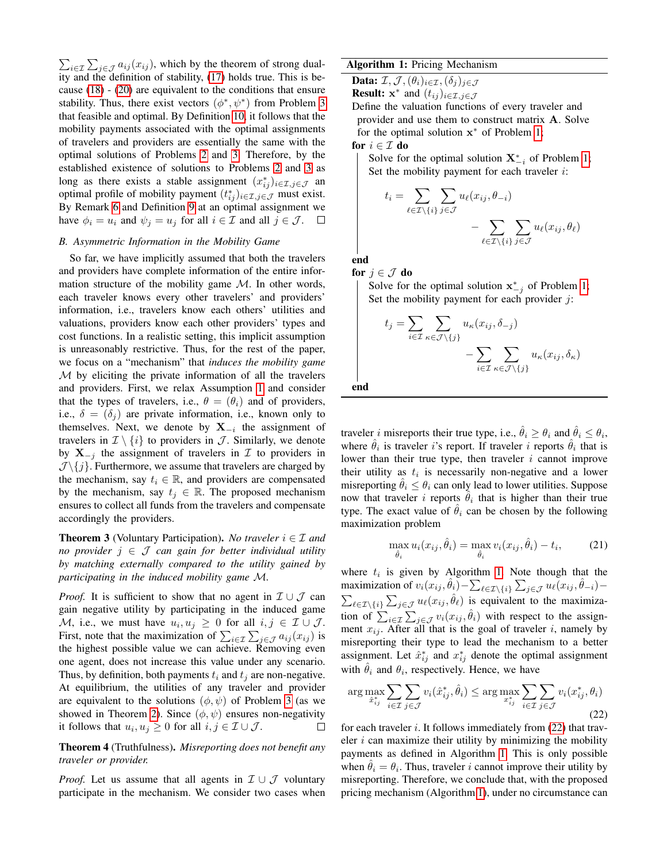$\sum_{i \in \mathcal{I}} \sum_{j \in \mathcal{J}} a_{ij}(x_{ij})$ , which by the theorem of strong duality and the definition of stability, [\(17\)](#page-3-8) holds true. This is because [\(18\)](#page-3-9) - [\(20\)](#page-3-10) are equivalent to the conditions that ensure stability. Thus, there exist vectors  $(\phi^*, \psi^*)$  from Problem [3](#page-3-3) that feasible and optimal. By Definition [10,](#page-2-5) it follows that the mobility payments associated with the optimal assignments of travelers and providers are essentially the same with the optimal solutions of Problems [2](#page-3-2) and [3.](#page-3-3) Therefore, by the established existence of solutions to Problems [2](#page-3-2) and [3](#page-3-3) as long as there exists a stable assignment  $(x_{ij}^*)_{i \in \mathcal{I}, j \in \mathcal{J}}$  and optimal profile of mobility payment  $(t_{ij}^*)_{i \in \mathcal{I}, j \in \mathcal{J}}$  must exist. By Remark [6](#page-3-7) and Definition [9](#page-2-4) at an optimal assignment we have  $\phi_i = u_i$  and  $\psi_j = u_j$  for all  $i \in \mathcal{I}$  and all  $j \in \mathcal{J}$ .  $\Box$ 

## <span id="page-4-1"></span>*B. Asymmetric Information in the Mobility Game*

So far, we have implicitly assumed that both the travelers and providers have complete information of the entire information structure of the mobility game  $M$ . In other words, each traveler knows every other travelers' and providers' information, i.e., travelers know each others' utilities and valuations, providers know each other providers' types and cost functions. In a realistic setting, this implicit assumption is unreasonably restrictive. Thus, for the rest of the paper, we focus on a "mechanism" that *induces the mobility game*  $M$  by eliciting the private information of all the travelers and providers. First, we relax Assumption [1](#page-2-6) and consider that the types of travelers, i.e.,  $\theta = (\theta_i)$  and of providers, i.e.,  $\delta = (\delta_i)$  are private information, i.e., known only to themselves. Next, we denote by  $X_{-i}$  the assignment of travelers in  $\mathcal{I} \setminus \{i\}$  to providers in  $\mathcal{J}$ . Similarly, we denote by  $X_{-i}$  the assignment of travelers in  $\mathcal I$  to providers in  $\mathcal{J}\setminus\{j\}$ . Furthermore, we assume that travelers are charged by the mechanism, say  $t_i \in \mathbb{R}$ , and providers are compensated by the mechanism, say  $t_i \in \mathbb{R}$ . The proposed mechanism ensures to collect all funds from the travelers and compensate accordingly the providers.

<span id="page-4-0"></span>**Theorem 3** (Voluntary Participation). *No traveler*  $i \in \mathcal{I}$  *and no provider* j ∈ J *can gain for better individual utility by matching externally compared to the utility gained by participating in the induced mobility game* M*.*

*Proof.* It is sufficient to show that no agent in  $\mathcal{I} \cup \mathcal{J}$  can gain negative utility by participating in the induced game M, i.e., we must have  $u_i, u_j \geq 0$  for all  $i, j \in \mathcal{I} \cup \mathcal{J}$ . First, note that the maximization of  $\sum_{i \in \mathcal{I}} \sum_{j \in \mathcal{J}} a_{ij}(x_{ij})$  is the highest possible value we can achieve. Removing even one agent, does not increase this value under any scenario. Thus, by definition, both payments  $t_i$  and  $t_j$  are non-negative. At equilibrium, the utilities of any traveler and provider are equivalent to the solutions  $(\phi, \psi)$  of Problem [3](#page-3-3) (as we showed in Theorem [2\)](#page-3-11). Since  $(\phi, \psi)$  ensures non-negativity it follows that  $u_i, u_j \geq 0$  for all  $i, j \in \mathcal{I} \cup \mathcal{J}$ .  $\Box$ 

Theorem 4 (Truthfulness). *Misreporting does not benefit any traveler or provider.*

*Proof.* Let us assume that all agents in  $\mathcal{I} \cup \mathcal{J}$  voluntary participate in the mechanism. We consider two cases when

## Algorithm 1: Pricing Mechanism

**Data:**  $\mathcal{I}, \mathcal{J},(\theta_i)_{i \in \mathcal{I}},(\delta_j)_{j \in \mathcal{J}}$ 

**Result:**  $x^*$  and  $(t_{ij})_{i \in \mathcal{I}, j \in \mathcal{J}}$ 

Define the valuation functions of every traveler and provider and use them to construct matrix A. Solve for the optimal solution  $x^*$  of Problem [1;](#page-2-7)

for  $i \in \mathcal{I}$  do

Solve for the optimal solution  $X_{-i}^*$  of Problem [1;](#page-2-7) Set the mobility payment for each traveler  $i$ :

$$
t_i = \sum_{\ell \in \mathcal{I} \setminus \{i\}} \sum_{j \in \mathcal{J}} u_{\ell}(x_{ij}, \theta_{-i}) - \sum_{\ell \in \mathcal{I} \setminus \{i\}} \sum_{j \in \mathcal{J}} u_{\ell}(x_{ij}, \theta_{\ell})
$$

end

for  $j \in \mathcal{J}$  do Solve for the optimal solution  $x_{-j}^*$  of Problem [1;](#page-2-7) Set the mobility payment for each provider  $j$ :

$$
t_j = \sum_{i \in \mathcal{I}} \sum_{\kappa \in \mathcal{J} \setminus \{j\}} u_{\kappa}(x_{ij}, \delta_{-j}) - \sum_{i \in \mathcal{I}} \sum_{\kappa \in \mathcal{J} \setminus \{j\}} u_{\kappa}(x_{ij}, \delta_{\kappa})
$$

end

traveler *i* misreports their true type, i.e.,  $\hat{\theta}_i \ge \theta_i$  and  $\hat{\theta}_i \le \theta_i$ , where  $\hat{\theta}_i$  is traveler *i*'s report. If traveler *i* reports  $\hat{\theta}_i$  that is lower than their true type, then traveler  $i$  cannot improve their utility as  $t_i$  is necessarily non-negative and a lower misreporting  $\hat{\theta}_i \leq \theta_i$  can only lead to lower utilities. Suppose now that traveler i reports  $\hat{\theta}_i$  that is higher than their true type. The exact value of  $\hat{\theta}_i$  can be chosen by the following maximization problem

$$
\max_{\hat{\theta}_i} u_i(x_{ij}, \hat{\theta}_i) = \max_{\hat{\theta}_i} v_i(x_{ij}, \hat{\theta}_i) - t_i,
$$
 (21)

where  $t_i$  is given by Algorithm [1.](#page-4-0) Note though that the maximization of  $v_i(x_{ij}, \hat{\theta}_i) - \sum_{\ell \in \mathcal{I}\setminus\{i\}} \sum_{j \in \mathcal{J}} u_\ell(x_{ij}, \hat{\theta}_{-i}) \sum_{\ell \in \mathcal{I}\setminus\{i\}} \sum_{j\in\mathcal{J}} u_{\ell}(x_{ij}, \hat{\theta}_{\ell})$  is equivalent to the maximization of  $\sum_{i \in \mathcal{I}} \sum_{j \in \mathcal{J}} v_i(x_{ij}, \hat{\theta}_i)$  with respect to the assignment  $x_{ij}$ . After all that is the goal of traveler i, namely by misreporting their type to lead the mechanism to a better assignment. Let  $\hat{x}_{ij}^*$  and  $x_{ij}^*$  denote the optimal assignment with  $\hat{\theta}_i$  and  $\theta_i$ , respectively. Hence, we have

<span id="page-4-2"></span>
$$
\arg \max_{\hat{x}_{ij}^*} \sum_{i \in \mathcal{I}} \sum_{j \in \mathcal{J}} v_i(\hat{x}_{ij}^*, \hat{\theta}_i) \le \arg \max_{x_{ij}^*} \sum_{i \in \mathcal{I}} \sum_{j \in \mathcal{J}} v_i(x_{ij}^*, \theta_i)
$$
\n(22)

for each traveler  $i$ . It follows immediately from  $(22)$  that traveler  $i$  can maximize their utility by minimizing the mobility payments as defined in Algorithm [1.](#page-4-0) This is only possible when  $\hat{\theta}_i = \theta_i$ . Thus, traveler i cannot improve their utility by misreporting. Therefore, we conclude that, with the proposed pricing mechanism (Algorithm [1\)](#page-4-0), under no circumstance can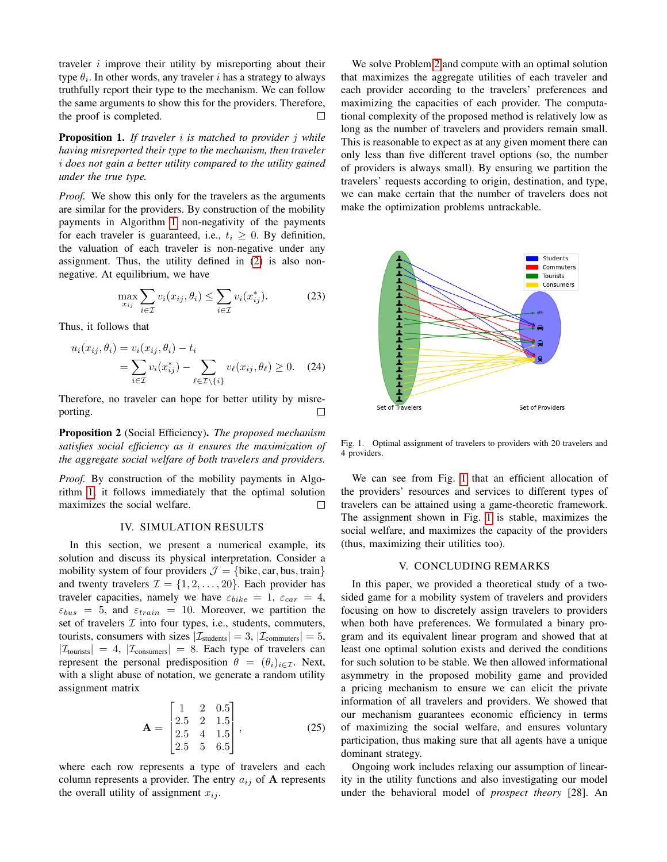traveler  $i$  improve their utility by misreporting about their type  $\theta_i$ . In other words, any traveler i has a strategy to always truthfully report their type to the mechanism. We can follow the same arguments to show this for the providers. Therefore, the proof is completed. П

Proposition 1. *If traveler* i *is matched to provider* j *while having misreported their type to the mechanism, then traveler* i *does not gain a better utility compared to the utility gained under the true type.*

*Proof.* We show this only for the travelers as the arguments are similar for the providers. By construction of the mobility payments in Algorithm [1](#page-4-0) non-negativity of the payments for each traveler is guaranteed, i.e.,  $t_i \geq 0$ . By definition, the valuation of each traveler is non-negative under any assignment. Thus, the utility defined in [\(2\)](#page-1-1) is also nonnegative. At equilibrium, we have

$$
\max_{x_{ij}} \sum_{i \in \mathcal{I}} v_i(x_{ij}, \theta_i) \le \sum_{i \in \mathcal{I}} v_i(x_{ij}^*).
$$
 (23)

Thus, it follows that

$$
u_i(x_{ij}, \theta_i) = v_i(x_{ij}, \theta_i) - t_i
$$
  
= 
$$
\sum_{i \in \mathcal{I}} v_i(x_{ij}^*) - \sum_{\ell \in \mathcal{I} \setminus \{i\}} v_\ell(x_{ij}, \theta_\ell) \ge 0.
$$
 (24)

Therefore, no traveler can hope for better utility by misreporting. П

Proposition 2 (Social Efficiency). *The proposed mechanism satisfies social efficiency as it ensures the maximization of the aggregate social welfare of both travelers and providers.*

*Proof.* By construction of the mobility payments in Algorithm [1,](#page-4-0) it follows immediately that the optimal solution maximizes the social welfare. □

# IV. SIMULATION RESULTS

<span id="page-5-0"></span>In this section, we present a numerical example, its solution and discuss its physical interpretation. Consider a mobility system of four providers  $\mathcal{J} = \{\text{bike}, \text{car}, \text{bus}, \text{train}\}\$ and twenty travelers  $\mathcal{I} = \{1, 2, \ldots, 20\}$ . Each provider has traveler capacities, namely we have  $\varepsilon_{bike} = 1$ ,  $\varepsilon_{car} = 4$ ,  $\varepsilon_{bus} = 5$ , and  $\varepsilon_{train} = 10$ . Moreover, we partition the set of travelers  $I$  into four types, i.e., students, commuters, tourists, consumers with sizes  $|\mathcal{I}_{\text{students}}| = 3$ ,  $|\mathcal{I}_{\text{commutes}}| = 5$ ,  $|\mathcal{I}_{\text{tourists}}| = 4$ ,  $|\mathcal{I}_{\text{consumes}}| = 8$ . Each type of travelers can represent the personal predisposition  $\theta = (\theta_i)_{i \in \mathcal{I}}$ . Next, with a slight abuse of notation, we generate a random utility assignment matrix

$$
\mathbf{A} = \begin{bmatrix} 1 & 2 & 0.5 \\ 2.5 & 2 & 1.5 \\ 2.5 & 4 & 1.5 \\ 2.5 & 5 & 6.5 \end{bmatrix},
$$
(25)

where each row represents a type of travelers and each column represents a provider. The entry  $a_{ij}$  of A represents the overall utility of assignment  $x_{ij}$ .

We solve Problem [2](#page-3-2) and compute with an optimal solution that maximizes the aggregate utilities of each traveler and each provider according to the travelers' preferences and maximizing the capacities of each provider. The computational complexity of the proposed method is relatively low as long as the number of travelers and providers remain small. This is reasonable to expect as at any given moment there can only less than five different travel options (so, the number of providers is always small). By ensuring we partition the travelers' requests according to origin, destination, and type, we can make certain that the number of travelers does not make the optimization problems untrackable.



<span id="page-5-2"></span>Fig. 1. Optimal assignment of travelers to providers with 20 travelers and 4 providers.

We can see from Fig. [1](#page-5-2) that an efficient allocation of the providers' resources and services to different types of travelers can be attained using a game-theoretic framework. The assignment shown in Fig. [1](#page-5-2) is stable, maximizes the social welfare, and maximizes the capacity of the providers (thus, maximizing their utilities too).

#### V. CONCLUDING REMARKS

<span id="page-5-1"></span>In this paper, we provided a theoretical study of a twosided game for a mobility system of travelers and providers focusing on how to discretely assign travelers to providers when both have preferences. We formulated a binary program and its equivalent linear program and showed that at least one optimal solution exists and derived the conditions for such solution to be stable. We then allowed informational asymmetry in the proposed mobility game and provided a pricing mechanism to ensure we can elicit the private information of all travelers and providers. We showed that our mechanism guarantees economic efficiency in terms of maximizing the social welfare, and ensures voluntary participation, thus making sure that all agents have a unique dominant strategy.

Ongoing work includes relaxing our assumption of linearity in the utility functions and also investigating our model under the behavioral model of *prospect theory* [28]. An